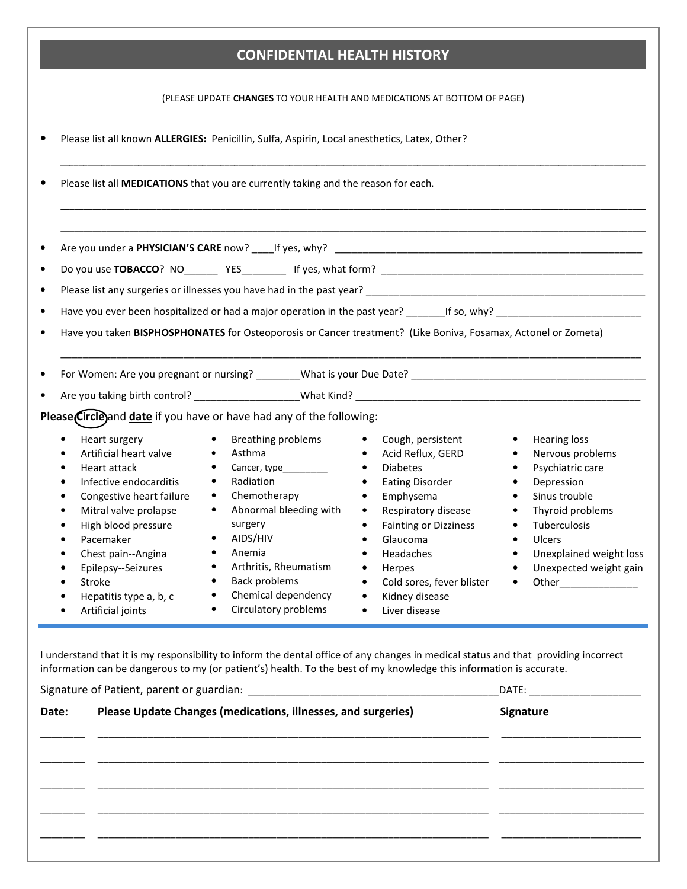## CONFIDENTIAL HEALTH HISTORY

(PLEASE UPDATE CHANGES TO YOUR HEALTH AND MEDICATIONS AT BOTTOM OF PAGE)

| Please list all known ALLERGIES: Penicillin, Sulfa, Aspirin, Local anesthetics, Latex, Other?                                                                                                                                                                                                                   |                                                                                                                                                                                                                                                                                                                       |                                                                                                                                                                                                 |
|-----------------------------------------------------------------------------------------------------------------------------------------------------------------------------------------------------------------------------------------------------------------------------------------------------------------|-----------------------------------------------------------------------------------------------------------------------------------------------------------------------------------------------------------------------------------------------------------------------------------------------------------------------|-------------------------------------------------------------------------------------------------------------------------------------------------------------------------------------------------|
| Please list all MEDICATIONS that you are currently taking and the reason for each.                                                                                                                                                                                                                              |                                                                                                                                                                                                                                                                                                                       |                                                                                                                                                                                                 |
|                                                                                                                                                                                                                                                                                                                 |                                                                                                                                                                                                                                                                                                                       |                                                                                                                                                                                                 |
| Have you ever been hospitalized or had a major operation in the past year? ___________________________________                                                                                                                                                                                                  |                                                                                                                                                                                                                                                                                                                       |                                                                                                                                                                                                 |
| Have you taken BISPHOSPHONATES for Osteoporosis or Cancer treatment? (Like Boniva, Fosamax, Actonel or Zometa)                                                                                                                                                                                                  |                                                                                                                                                                                                                                                                                                                       |                                                                                                                                                                                                 |
| Please Circle) and date if you have or have had any of the following:                                                                                                                                                                                                                                           |                                                                                                                                                                                                                                                                                                                       |                                                                                                                                                                                                 |
| Heart surgery<br>Asthma<br>Artificial heart valve<br>$\bullet$<br>Heart attack<br>$\bullet$<br>Radiation<br>Infective endocarditis<br>$\bullet$<br>$\bullet$<br>Chemotherapy<br>Congestive heart failure<br>$\bullet$<br>$\bullet$<br>Mitral valve prolapse<br>$\bullet$<br>High blood pressure<br>surgery<br>٠ | <b>Breathing problems</b><br>Cough, persistent<br>Acid Reflux, GERD<br>$\bullet$<br><b>Diabetes</b><br>$\bullet$<br>Cancer, type_________<br><b>Eating Disorder</b><br>$\bullet$<br>Emphysema<br>$\bullet$<br>Abnormal bleeding with<br>Respiratory disease<br>$\bullet$<br><b>Fainting or Dizziness</b><br>$\bullet$ | <b>Hearing loss</b><br>$\bullet$<br>Nervous problems<br>$\bullet$<br>Psychiatric care<br>$\bullet$<br>Depression<br>$\bullet$<br>Sinus trouble<br>$\bullet$<br>Thyroid problems<br>Tuberculosis |

I understand that it is my responsibility to inform the dental office of any changes in medical status and that providing incorrect information can be dangerous to my (or patient's) health. To the best of my knowledge this information is accurate.

| Date: | Please Update Changes (medications, illnesses, and surgeries) | Signature |
|-------|---------------------------------------------------------------|-----------|
|       |                                                               |           |
|       |                                                               |           |
|       |                                                               |           |
|       |                                                               |           |
|       |                                                               |           |
|       |                                                               |           |